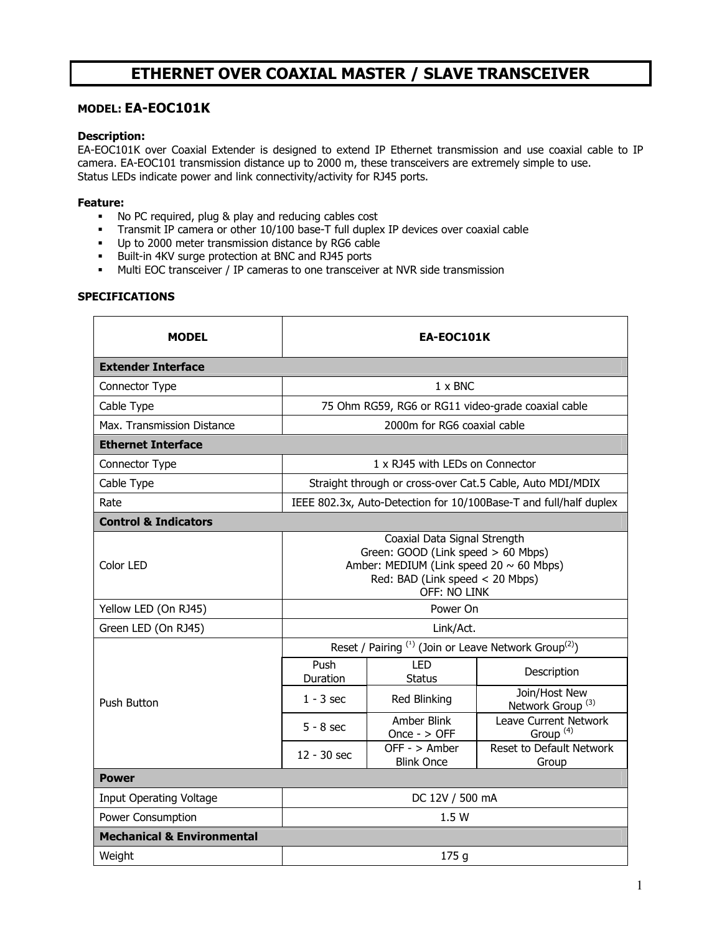# **ETHERNET OVER COAXIAL MASTER / SLAVE TRANSCEIVER**

### **MODEL: EA-EOC101K**

### **Description:**

EA-EOC101K over Coaxial Extender is designed to extend IP Ethernet transmission and use coaxial cable to IP camera. EA-EOC101 transmission distance up to 2000 m, these transceivers are extremely simple to use. Status LEDs indicate power and link connectivity/activity for RJ45 ports.

### **Feature:**

- No PC required, plug & play and reducing cables cost
- Transmit IP camera or other 10/100 base-T full duplex IP devices over coaxial cable
- Up to 2000 meter transmission distance by RG6 cable
- Built-in 4KV surge protection at BNC and RJ45 ports
- Multi EOC transceiver / IP cameras to one transceiver at NVR side transmission

#### **SPECIFICATIONS**

| <b>MODEL</b>                          | EA-EOC101K                                                                                                                                                            |                                                 |                                               |  |  |  |
|---------------------------------------|-----------------------------------------------------------------------------------------------------------------------------------------------------------------------|-------------------------------------------------|-----------------------------------------------|--|--|--|
| <b>Extender Interface</b>             |                                                                                                                                                                       |                                                 |                                               |  |  |  |
| Connector Type                        |                                                                                                                                                                       | $1 \times BNC$                                  |                                               |  |  |  |
| Cable Type                            | 75 Ohm RG59, RG6 or RG11 video-grade coaxial cable                                                                                                                    |                                                 |                                               |  |  |  |
| Max. Transmission Distance            | 2000m for RG6 coaxial cable                                                                                                                                           |                                                 |                                               |  |  |  |
| <b>Ethernet Interface</b>             |                                                                                                                                                                       |                                                 |                                               |  |  |  |
| Connector Type                        | 1 x RJ45 with LEDs on Connector                                                                                                                                       |                                                 |                                               |  |  |  |
| Cable Type                            | Straight through or cross-over Cat.5 Cable, Auto MDI/MDIX                                                                                                             |                                                 |                                               |  |  |  |
| Rate                                  | IEEE 802.3x, Auto-Detection for 10/100Base-T and full/half duplex                                                                                                     |                                                 |                                               |  |  |  |
| <b>Control &amp; Indicators</b>       |                                                                                                                                                                       |                                                 |                                               |  |  |  |
| Color LED                             | Coaxial Data Signal Strength<br>Green: GOOD (Link speed > 60 Mbps)<br>Amber: MEDIUM (Link speed 20 $\sim$ 60 Mbps)<br>Red: BAD (Link speed < 20 Mbps)<br>OFF: NO LINK |                                                 |                                               |  |  |  |
| Yellow LED (On RJ45)                  | Power On                                                                                                                                                              |                                                 |                                               |  |  |  |
| Green LED (On RJ45)                   | Link/Act.                                                                                                                                                             |                                                 |                                               |  |  |  |
| <b>Push Button</b>                    | Reset / Pairing $^{(1)}$ (Join or Leave Network Group $^{(2)}$ )                                                                                                      |                                                 |                                               |  |  |  |
|                                       | Push<br>Duration                                                                                                                                                      | <b>LED</b><br><b>Status</b>                     | Description                                   |  |  |  |
|                                       | $1 - 3$ sec                                                                                                                                                           | Red Blinking                                    | Join/Host New<br>Network Group <sup>(3)</sup> |  |  |  |
|                                       | $5 - 8$ sec                                                                                                                                                           | Amber Blink<br>$Once -> OFF$                    | Leave Current Network<br>Group $(4)$          |  |  |  |
|                                       | $12 - 30$ sec.                                                                                                                                                        | $\overline{OFF}$ - > Amber<br><b>Blink Once</b> | Reset to Default Network<br>Group             |  |  |  |
| <b>Power</b>                          |                                                                                                                                                                       |                                                 |                                               |  |  |  |
| <b>Input Operating Voltage</b>        | DC 12V / 500 mA                                                                                                                                                       |                                                 |                                               |  |  |  |
| Power Consumption                     | 1.5 W                                                                                                                                                                 |                                                 |                                               |  |  |  |
| <b>Mechanical &amp; Environmental</b> |                                                                                                                                                                       |                                                 |                                               |  |  |  |
| Weight                                | 175 g                                                                                                                                                                 |                                                 |                                               |  |  |  |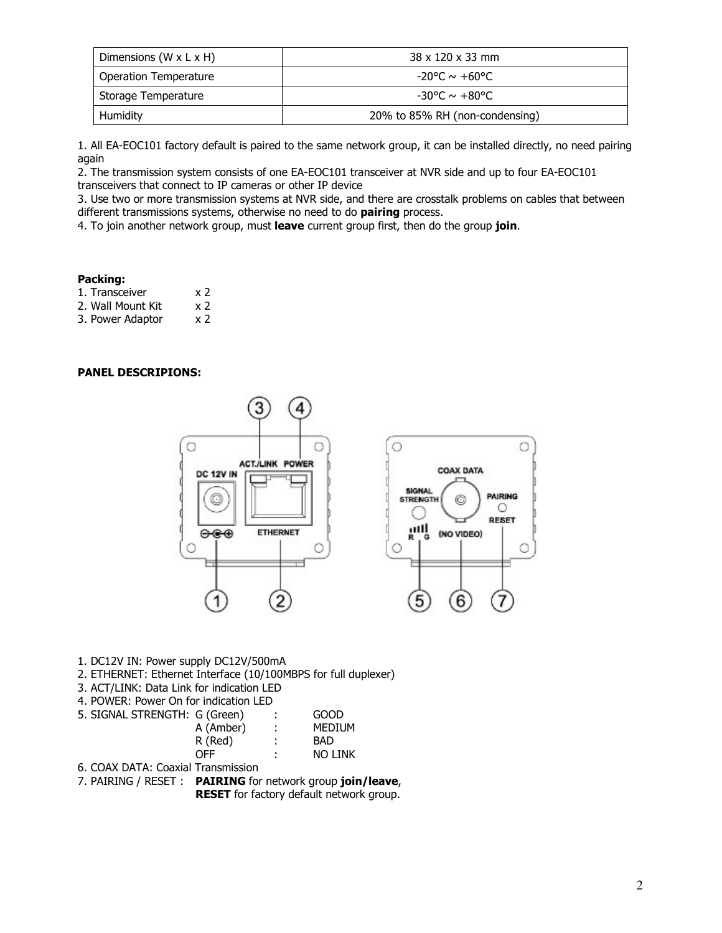| Dimensions ( $W \times L \times H$ ) | $38 \times 120 \times 33$ mm          |  |
|--------------------------------------|---------------------------------------|--|
| <b>Operation Temperature</b>         | $-20^{\circ}$ C ~ $+60^{\circ}$ C $-$ |  |
| Storage Temperature                  | $-30^{\circ}$ C ~ $+80^{\circ}$ C     |  |
| Humidity                             | 20% to 85% RH (non-condensing)        |  |

1. All EA-EOC101 factory default is paired to the same network group, it can be installed directly, no need pairing again

2. The transmission system consists of one EA-EOC101 transceiver at NVR side and up to four EA-EOC101 transceivers that connect to IP cameras or other IP device

3. Use two or more transmission systems at NVR side, and there are crosstalk problems on cables that between different transmissions systems, otherwise no need to do **pairing** process.

4. To join another network group, must **leave** current group first, then do the group **join**.

### **Packing:**

- 1. Transceiver x 2
- 2. Wall Mount Kit x 2
- 3. Power Adaptor x 2

#### **PANEL DESCRIPIONS:**



- 1. DC12V IN: Power supply DC12V/500mA
- 2. ETHERNET: Ethernet Interface (10/100MBPS for full duplexer)
- 3. ACT/LINK: Data Link for indication LED
- 4. POWER: Power On for indication LED<br>5. SIGNAL STRENGTH: G (Green)

| 5. SIGNAL STRENGTH: G (Green) |  | <b>GOOD</b> |
|-------------------------------|--|-------------|
|                               |  |             |

| ა. SIGNAL STRENGTH: G (Green) |           |   | GUUD           |
|-------------------------------|-----------|---|----------------|
|                               | A (Amber) | ÷ | <b>MEDIUM</b>  |
|                               | R (Red)   | ÷ | BAD            |
|                               | OFF.      | ٠ | <b>NO LINK</b> |
|                               |           |   |                |

- 6. COAX DATA: Coaxial Transmission
- 7. PAIRING / RESET : **PAIRING** for network group **join/leave**,

**RESET** for factory default network group.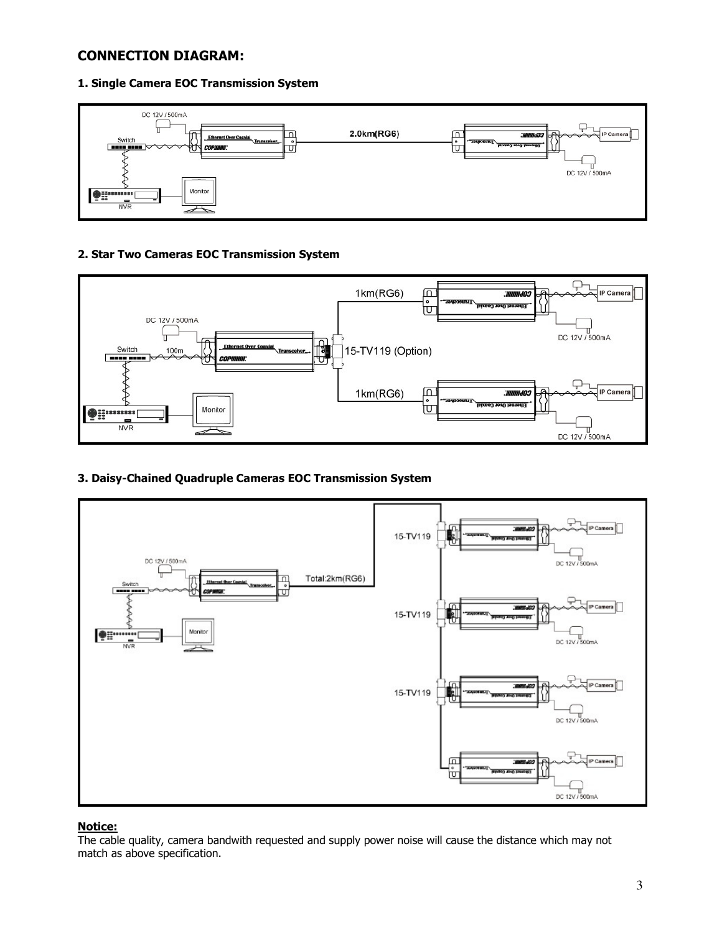## **CONNECTION DIAGRAM:**

### **1. Single Camera EOC Transmission System**



### **2. Star Two Cameras EOC Transmission System**



### **3. Daisy-Chained Quadruple Cameras EOC Transmission System**



### **Notice:**

The cable quality, camera bandwith requested and supply power noise will cause the distance which may not match as above specification.